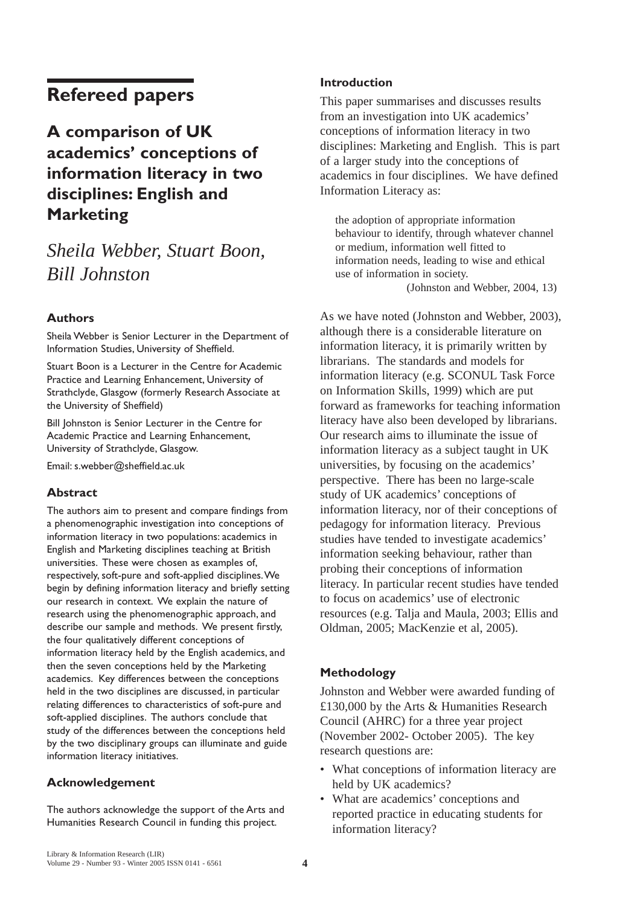# **Refereed papers**

# **A comparison of UK academics' conceptions of information literacy in two disciplines: English and Marketing**

# *Sheila Webber, Stuart Boon, Bill Johnston*

## **Authors**

Sheila Webber is Senior Lecturer in the Department of Information Studies, University of Sheffield.

Stuart Boon is a Lecturer in the Centre for Academic Practice and Learning Enhancement, University of Strathclyde, Glasgow (formerly Research Associate at the University of Sheffield)

Bill Johnston is Senior Lecturer in the Centre for Academic Practice and Learning Enhancement, University of Strathclyde, Glasgow.

Email: s.webber@sheffield.ac.uk

### **Abstract**

The authors aim to present and compare findings from a phenomenographic investigation into conceptions of information literacy in two populations: academics in English and Marketing disciplines teaching at British universities. These were chosen as examples of, respectively, soft-pure and soft-applied disciplines.We begin by defining information literacy and briefly setting our research in context. We explain the nature of research using the phenomenographic approach, and describe our sample and methods. We present firstly, the four qualitatively different conceptions of information literacy held by the English academics, and then the seven conceptions held by the Marketing academics. Key differences between the conceptions held in the two disciplines are discussed, in particular relating differences to characteristics of soft-pure and soft-applied disciplines. The authors conclude that study of the differences between the conceptions held by the two disciplinary groups can illuminate and guide information literacy initiatives.

### **Acknowledgement**

The authors acknowledge the support of the Arts and Humanities Research Council in funding this project.

### **Introduction**

This paper summarises and discusses results from an investigation into UK academics' conceptions of information literacy in two disciplines: Marketing and English. This is part of a larger study into the conceptions of academics in four disciplines. We have defined Information Literacy as:

the adoption of appropriate information behaviour to identify, through whatever channel or medium, information well fitted to information needs, leading to wise and ethical use of information in society. (Johnston and Webber, 2004, 13)

As we have noted (Johnston and Webber, 2003), although there is a considerable literature on information literacy, it is primarily written by librarians. The standards and models for information literacy (e.g. SCONUL Task Force on Information Skills, 1999) which are put forward as frameworks for teaching information literacy have also been developed by librarians. Our research aims to illuminate the issue of information literacy as a subject taught in UK universities, by focusing on the academics' perspective. There has been no large-scale study of UK academics' conceptions of information literacy, nor of their conceptions of pedagogy for information literacy. Previous studies have tended to investigate academics' information seeking behaviour, rather than probing their conceptions of information literacy. In particular recent studies have tended to focus on academics' use of electronic resources (e.g. Talja and Maula, 2003; Ellis and Oldman, 2005; MacKenzie et al, 2005).

## **Methodology**

Johnston and Webber were awarded funding of £130,000 by the Arts & Humanities Research Council (AHRC) for a three year project (November 2002- October 2005). The key research questions are:

- What conceptions of information literacy are held by UK academics?
- What are academics' conceptions and reported practice in educating students for information literacy?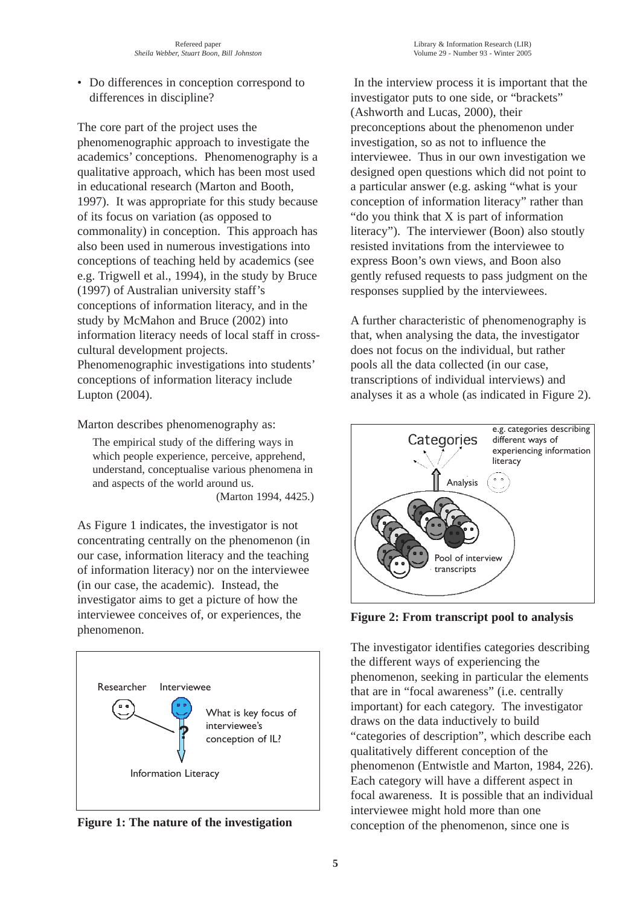• Do differences in conception correspond to differences in discipline?

The core part of the project uses the phenomenographic approach to investigate the academics' conceptions. Phenomenography is a qualitative approach, which has been most used in educational research (Marton and Booth, 1997). It was appropriate for this study because of its focus on variation (as opposed to commonality) in conception. This approach has also been used in numerous investigations into conceptions of teaching held by academics (see e.g. Trigwell et al., 1994), in the study by Bruce (1997) of Australian university staff's conceptions of information literacy, and in the study by McMahon and Bruce (2002) into information literacy needs of local staff in crosscultural development projects. Phenomenographic investigations into students' conceptions of information literacy include Lupton (2004).

Marton describes phenomenography as:

The empirical study of the differing ways in which people experience, perceive, apprehend, understand, conceptualise various phenomena in and aspects of the world around us. (Marton 1994, 4425.)

As Figure 1 indicates, the investigator is not concentrating centrally on the phenomenon (in our case, information literacy and the teaching of information literacy) nor on the interviewee (in our case, the academic). Instead, the investigator aims to get a picture of how the interviewee conceives of, or experiences, the phenomenon.



**Figure 1: The nature of the investigation**

In the interview process it is important that the investigator puts to one side, or "brackets" (Ashworth and Lucas, 2000), their preconceptions about the phenomenon under investigation, so as not to influence the interviewee. Thus in our own investigation we designed open questions which did not point to a particular answer (e.g. asking "what is your conception of information literacy" rather than "do you think that X is part of information literacy"). The interviewer (Boon) also stoutly resisted invitations from the interviewee to express Boon's own views, and Boon also gently refused requests to pass judgment on the responses supplied by the interviewees.

A further characteristic of phenomenography is that, when analysing the data, the investigator does not focus on the individual, but rather pools all the data collected (in our case, transcriptions of individual interviews) and analyses it as a whole (as indicated in Figure 2).



**Figure 2: From transcript pool to analysis**

The investigator identifies categories describing the different ways of experiencing the phenomenon, seeking in particular the elements that are in "focal awareness" (i.e. centrally important) for each category. The investigator draws on the data inductively to build "categories of description", which describe each qualitatively different conception of the phenomenon (Entwistle and Marton, 1984, 226). Each category will have a different aspect in focal awareness. It is possible that an individual interviewee might hold more than one conception of the phenomenon, since one is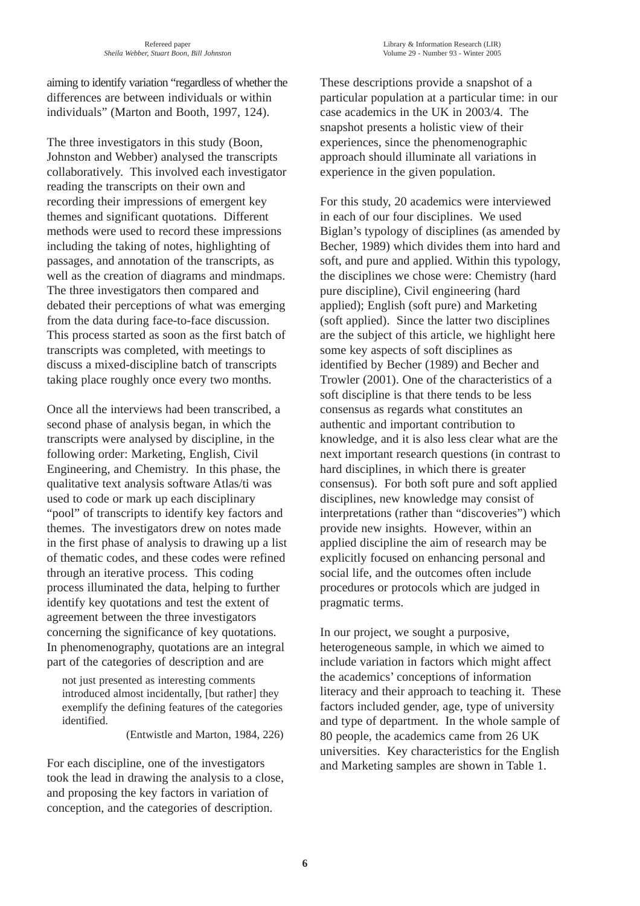aiming to identify variation "regardless of whether the differences are between individuals or within individuals" (Marton and Booth, 1997, 124).

The three investigators in this study (Boon, Johnston and Webber) analysed the transcripts collaboratively. This involved each investigator reading the transcripts on their own and recording their impressions of emergent key themes and significant quotations. Different methods were used to record these impressions including the taking of notes, highlighting of passages, and annotation of the transcripts, as well as the creation of diagrams and mindmaps. The three investigators then compared and debated their perceptions of what was emerging from the data during face-to-face discussion. This process started as soon as the first batch of transcripts was completed, with meetings to discuss a mixed-discipline batch of transcripts taking place roughly once every two months.

Once all the interviews had been transcribed, a second phase of analysis began, in which the transcripts were analysed by discipline, in the following order: Marketing, English, Civil Engineering, and Chemistry. In this phase, the qualitative text analysis software Atlas/ti was used to code or mark up each disciplinary "pool" of transcripts to identify key factors and themes. The investigators drew on notes made in the first phase of analysis to drawing up a list of thematic codes, and these codes were refined through an iterative process. This coding process illuminated the data, helping to further identify key quotations and test the extent of agreement between the three investigators concerning the significance of key quotations. In phenomenography, quotations are an integral part of the categories of description and are

not just presented as interesting comments introduced almost incidentally, [but rather] they exemplify the defining features of the categories identified.

(Entwistle and Marton, 1984, 226)

For each discipline, one of the investigators took the lead in drawing the analysis to a close, and proposing the key factors in variation of conception, and the categories of description.

These descriptions provide a snapshot of a particular population at a particular time: in our case academics in the UK in 2003/4. The snapshot presents a holistic view of their experiences, since the phenomenographic approach should illuminate all variations in experience in the given population.

For this study, 20 academics were interviewed in each of our four disciplines. We used Biglan's typology of disciplines (as amended by Becher, 1989) which divides them into hard and soft, and pure and applied. Within this typology, the disciplines we chose were: Chemistry (hard pure discipline), Civil engineering (hard applied); English (soft pure) and Marketing (soft applied). Since the latter two disciplines are the subject of this article, we highlight here some key aspects of soft disciplines as identified by Becher (1989) and Becher and Trowler (2001). One of the characteristics of a soft discipline is that there tends to be less consensus as regards what constitutes an authentic and important contribution to knowledge, and it is also less clear what are the next important research questions (in contrast to hard disciplines, in which there is greater consensus). For both soft pure and soft applied disciplines, new knowledge may consist of interpretations (rather than "discoveries") which provide new insights. However, within an applied discipline the aim of research may be explicitly focused on enhancing personal and social life, and the outcomes often include procedures or protocols which are judged in pragmatic terms.

In our project, we sought a purposive, heterogeneous sample, in which we aimed to include variation in factors which might affect the academics' conceptions of information literacy and their approach to teaching it. These factors included gender, age, type of university and type of department. In the whole sample of 80 people, the academics came from 26 UK universities. Key characteristics for the English and Marketing samples are shown in Table 1.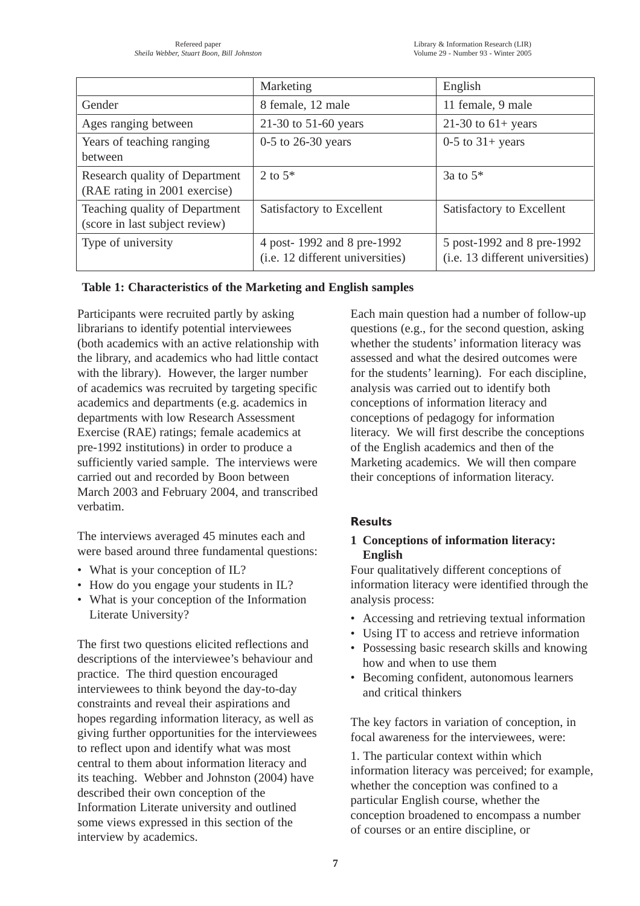|                                                                  | Marketing                                                      | English                                                        |
|------------------------------------------------------------------|----------------------------------------------------------------|----------------------------------------------------------------|
| Gender                                                           | 8 female, 12 male                                              | 11 female, 9 male                                              |
| Ages ranging between                                             | 21-30 to $51-60$ years                                         | 21-30 to $61+$ years                                           |
| Years of teaching ranging<br>between                             | $0-5$ to 26-30 years                                           | $0-5$ to $31+$ years                                           |
| Research quality of Department<br>(RAE rating in 2001 exercise)  | 2 to $5^*$                                                     | 3a to $5^*$                                                    |
| Teaching quality of Department<br>(score in last subject review) | Satisfactory to Excellent                                      | Satisfactory to Excellent                                      |
| Type of university                                               | 4 post-1992 and 8 pre-1992<br>(i.e. 12 different universities) | 5 post-1992 and 8 pre-1992<br>(i.e. 13 different universities) |

## **Table 1: Characteristics of the Marketing and English samples**

Participants were recruited partly by asking librarians to identify potential interviewees (both academics with an active relationship with the library, and academics who had little contact with the library). However, the larger number of academics was recruited by targeting specific academics and departments (e.g. academics in departments with low Research Assessment Exercise (RAE) ratings; female academics at pre-1992 institutions) in order to produce a sufficiently varied sample. The interviews were carried out and recorded by Boon between March 2003 and February 2004, and transcribed verbatim.

The interviews averaged 45 minutes each and were based around three fundamental questions:

- What is your conception of IL?
- How do you engage your students in IL?
- What is your conception of the Information Literate University?

The first two questions elicited reflections and descriptions of the interviewee's behaviour and practice. The third question encouraged interviewees to think beyond the day-to-day constraints and reveal their aspirations and hopes regarding information literacy, as well as giving further opportunities for the interviewees to reflect upon and identify what was most central to them about information literacy and its teaching. Webber and Johnston (2004) have described their own conception of the Information Literate university and outlined some views expressed in this section of the interview by academics.

Each main question had a number of follow-up questions (e.g., for the second question, asking whether the students' information literacy was assessed and what the desired outcomes were for the students' learning). For each discipline, analysis was carried out to identify both conceptions of information literacy and conceptions of pedagogy for information literacy. We will first describe the conceptions of the English academics and then of the Marketing academics. We will then compare their conceptions of information literacy.

# **Results**

## **1 Conceptions of information literacy: English**

Four qualitatively different conceptions of information literacy were identified through the analysis process:

- Accessing and retrieving textual information
- Using IT to access and retrieve information
- Possessing basic research skills and knowing how and when to use them
- Becoming confident, autonomous learners and critical thinkers

The key factors in variation of conception, in focal awareness for the interviewees, were:

1. The particular context within which information literacy was perceived; for example, whether the conception was confined to a particular English course, whether the conception broadened to encompass a number of courses or an entire discipline, or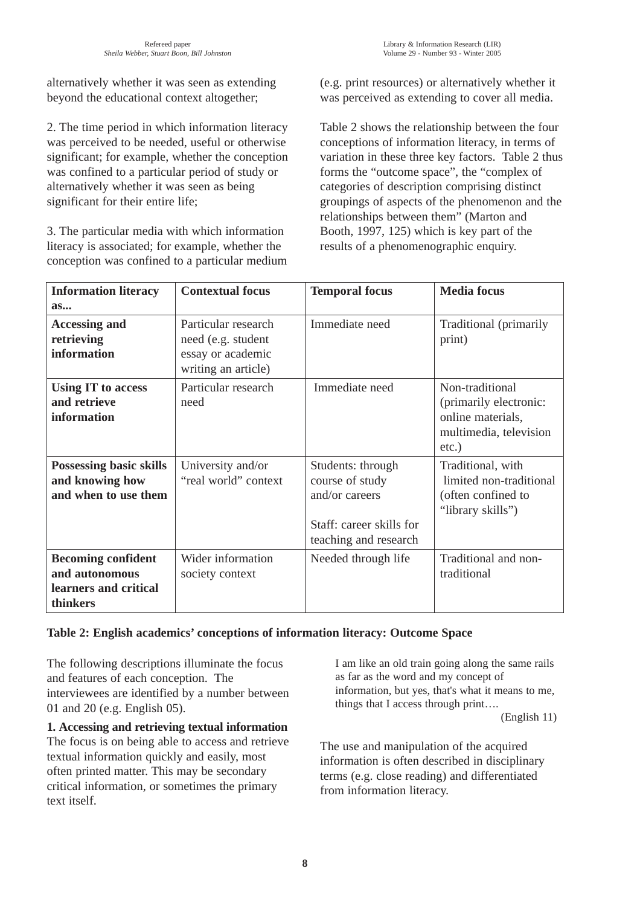alternatively whether it was seen as extending beyond the educational context altogether;

2. The time period in which information literacy was perceived to be needed, useful or otherwise significant; for example, whether the conception was confined to a particular period of study or alternatively whether it was seen as being significant for their entire life;

3. The particular media with which information literacy is associated; for example, whether the conception was confined to a particular medium (e.g. print resources) or alternatively whether it was perceived as extending to cover all media.

Table 2 shows the relationship between the four conceptions of information literacy, in terms of variation in these three key factors. Table 2 thus forms the "outcome space", the "complex of categories of description comprising distinct groupings of aspects of the phenomenon and the relationships between them" (Marton and Booth, 1997, 125) which is key part of the results of a phenomenographic enquiry.

| <b>Information literacy</b>                                                      | <b>Contextual focus</b>                                                               | <b>Temporal focus</b>                                                                                       | <b>Media</b> focus                                                                                   |
|----------------------------------------------------------------------------------|---------------------------------------------------------------------------------------|-------------------------------------------------------------------------------------------------------------|------------------------------------------------------------------------------------------------------|
| as                                                                               |                                                                                       |                                                                                                             |                                                                                                      |
| <b>Accessing and</b><br>retrieving<br>information                                | Particular research<br>need (e.g. student<br>essay or academic<br>writing an article) | Immediate need                                                                                              | Traditional (primarily<br>print)                                                                     |
| <b>Using IT to access</b><br>and retrieve<br>information                         | Particular research<br>need                                                           | Immediate need                                                                                              | Non-traditional<br>(primarily electronic:<br>online materials,<br>multimedia, television<br>$etc.$ ) |
| <b>Possessing basic skills</b><br>and knowing how<br>and when to use them        | University and/or<br>"real world" context                                             | Students: through<br>course of study<br>and/or careers<br>Staff: career skills for<br>teaching and research | Traditional, with<br>limited non-traditional<br>(often confined to<br>"library skills")              |
| <b>Becoming confident</b><br>and autonomous<br>learners and critical<br>thinkers | Wider information<br>society context                                                  | Needed through life                                                                                         | Traditional and non-<br>traditional                                                                  |

## **Table 2: English academics' conceptions of information literacy: Outcome Space**

The following descriptions illuminate the focus and features of each conception. The interviewees are identified by a number between 01 and 20 (e.g. English 05).

**1. Accessing and retrieving textual information** The focus is on being able to access and retrieve textual information quickly and easily, most often printed matter. This may be secondary critical information, or sometimes the primary text itself.

I am like an old train going along the same rails as far as the word and my concept of information, but yes, that's what it means to me, things that I access through print….

(English 11)

The use and manipulation of the acquired information is often described in disciplinary terms (e.g. close reading) and differentiated from information literacy.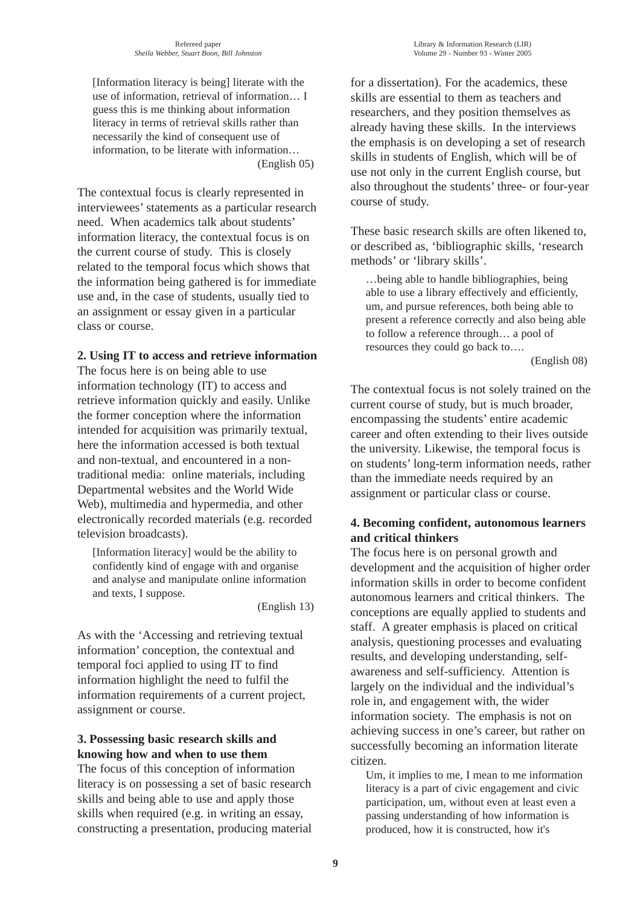[Information literacy is being] literate with the use of information, retrieval of information… I guess this is me thinking about information literacy in terms of retrieval skills rather than necessarily the kind of consequent use of information, to be literate with information… (English 05)

The contextual focus is clearly represented in interviewees' statements as a particular research need. When academics talk about students' information literacy, the contextual focus is on the current course of study. This is closely related to the temporal focus which shows that the information being gathered is for immediate use and, in the case of students, usually tied to an assignment or essay given in a particular class or course.

#### **2. Using IT to access and retrieve information**

The focus here is on being able to use information technology (IT) to access and retrieve information quickly and easily. Unlike the former conception where the information intended for acquisition was primarily textual, here the information accessed is both textual and non-textual, and encountered in a nontraditional media: online materials, including Departmental websites and the World Wide Web), multimedia and hypermedia, and other electronically recorded materials (e.g. recorded television broadcasts).

[Information literacy] would be the ability to confidently kind of engage with and organise and analyse and manipulate online information and texts, I suppose.

(English 13)

As with the 'Accessing and retrieving textual information' conception, the contextual and temporal foci applied to using IT to find information highlight the need to fulfil the information requirements of a current project, assignment or course.

## **3. Possessing basic research skills and knowing how and when to use them**

The focus of this conception of information literacy is on possessing a set of basic research skills and being able to use and apply those skills when required (e.g. in writing an essay, constructing a presentation, producing material for a dissertation). For the academics, these skills are essential to them as teachers and researchers, and they position themselves as already having these skills. In the interviews the emphasis is on developing a set of research skills in students of English, which will be of use not only in the current English course, but also throughout the students' three- or four-year course of study.

These basic research skills are often likened to, or described as, 'bibliographic skills, 'research methods' or 'library skills'.

…being able to handle bibliographies, being able to use a library effectively and efficiently, um, and pursue references, both being able to present a reference correctly and also being able to follow a reference through… a pool of resources they could go back to….

(English 08)

The contextual focus is not solely trained on the current course of study, but is much broader, encompassing the students' entire academic career and often extending to their lives outside the university. Likewise, the temporal focus is on students' long-term information needs, rather than the immediate needs required by an assignment or particular class or course.

## **4. Becoming confident, autonomous learners and critical thinkers**

The focus here is on personal growth and development and the acquisition of higher order information skills in order to become confident autonomous learners and critical thinkers. The conceptions are equally applied to students and staff. A greater emphasis is placed on critical analysis, questioning processes and evaluating results, and developing understanding, selfawareness and self-sufficiency. Attention is largely on the individual and the individual's role in, and engagement with, the wider information society. The emphasis is not on achieving success in one's career, but rather on successfully becoming an information literate citizen.

Um, it implies to me, I mean to me information literacy is a part of civic engagement and civic participation, um, without even at least even a passing understanding of how information is produced, how it is constructed, how it's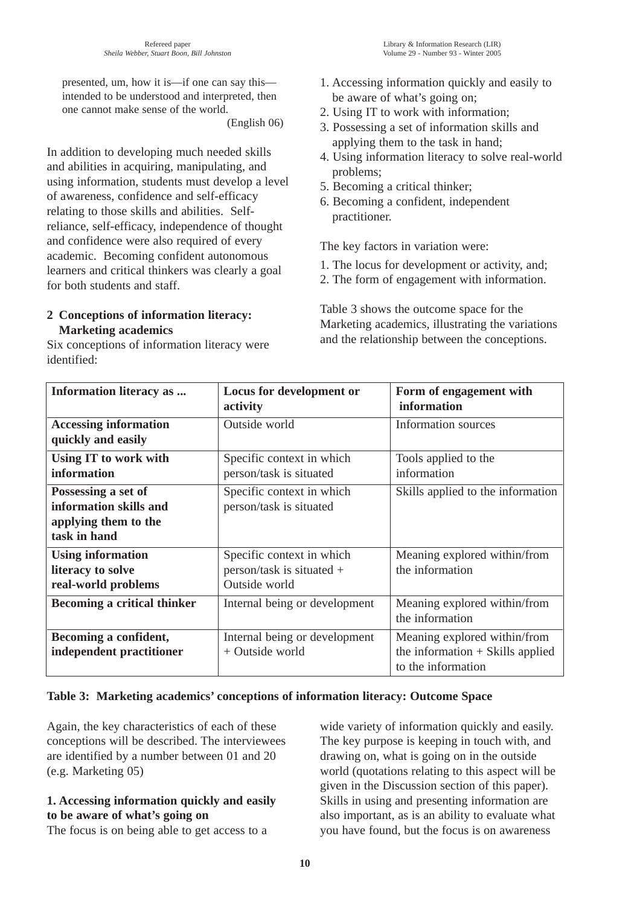presented, um, how it is—if one can say this intended to be understood and interpreted, then one cannot make sense of the world.

(English 06)

In addition to developing much needed skills and abilities in acquiring, manipulating, and using information, students must develop a level of awareness, confidence and self-efficacy relating to those skills and abilities. Selfreliance, self-efficacy, independence of thought and confidence were also required of every academic. Becoming confident autonomous learners and critical thinkers was clearly a goal for both students and staff.

## **2 Conceptions of information literacy: Marketing academics**

Six conceptions of information literacy were identified:

1. Accessing information quickly and easily to be aware of what's going on;

- 2. Using IT to work with information;
- 3. Possessing a set of information skills and applying them to the task in hand;
- 4. Using information literacy to solve real-world problems;
- 5. Becoming a critical thinker;
- 6. Becoming a confident, independent practitioner.

The key factors in variation were:

- 1. The locus for development or activity, and;
- 2. The form of engagement with information.

Table 3 shows the outcome space for the Marketing academics, illustrating the variations and the relationship between the conceptions.

| Information literacy as                                                               | Locus for development or<br>activity                                    | Form of engagement with<br>information                                                   |
|---------------------------------------------------------------------------------------|-------------------------------------------------------------------------|------------------------------------------------------------------------------------------|
| <b>Accessing information</b><br>quickly and easily                                    | Outside world                                                           | Information sources                                                                      |
| Using IT to work with<br>information                                                  | Specific context in which<br>person/task is situated                    | Tools applied to the<br>information                                                      |
| Possessing a set of<br>information skills and<br>applying them to the<br>task in hand | Specific context in which<br>person/task is situated                    | Skills applied to the information                                                        |
| <b>Using information</b><br>literacy to solve<br>real-world problems                  | Specific context in which<br>person/task is situated +<br>Outside world | Meaning explored within/from<br>the information                                          |
| <b>Becoming a critical thinker</b>                                                    | Internal being or development                                           | Meaning explored within/from<br>the information                                          |
| Becoming a confident,<br>independent practitioner                                     | Internal being or development<br>+ Outside world                        | Meaning explored within/from<br>the information $+$ Skills applied<br>to the information |

## **Table 3: Marketing academics' conceptions of information literacy: Outcome Space**

Again, the key characteristics of each of these conceptions will be described. The interviewees are identified by a number between 01 and 20 (e.g. Marketing 05)

## **1. Accessing information quickly and easily to be aware of what's going on**

The focus is on being able to get access to a

wide variety of information quickly and easily. The key purpose is keeping in touch with, and drawing on, what is going on in the outside world (quotations relating to this aspect will be given in the Discussion section of this paper). Skills in using and presenting information are also important, as is an ability to evaluate what you have found, but the focus is on awareness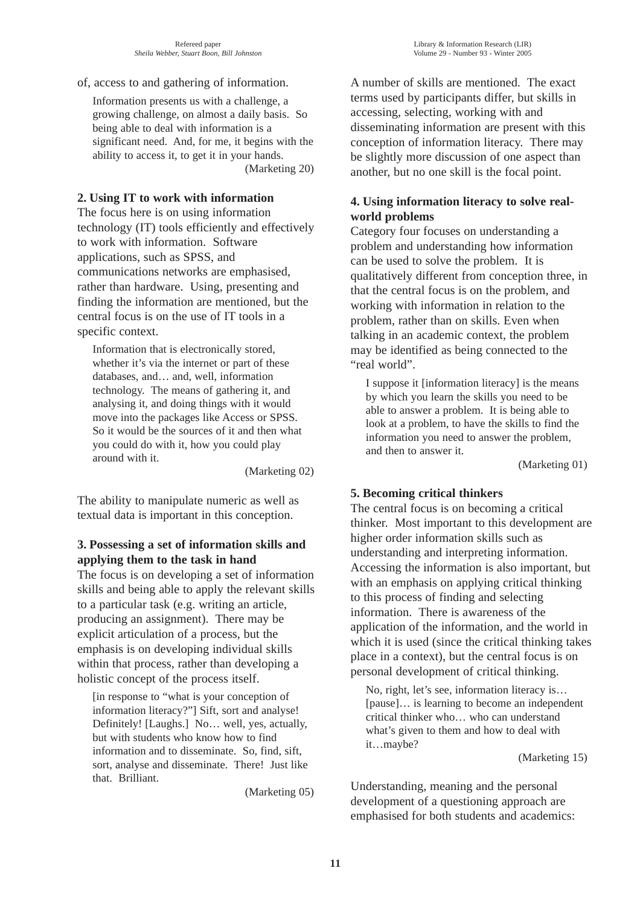#### of, access to and gathering of information.

Information presents us with a challenge, a growing challenge, on almost a daily basis. So being able to deal with information is a significant need. And, for me, it begins with the ability to access it, to get it in your hands. (Marketing 20)

### **2. Using IT to work with information**

The focus here is on using information technology (IT) tools efficiently and effectively to work with information. Software applications, such as SPSS, and communications networks are emphasised, rather than hardware. Using, presenting and finding the information are mentioned, but the central focus is on the use of IT tools in a specific context.

Information that is electronically stored, whether it's via the internet or part of these databases, and… and, well, information technology. The means of gathering it, and analysing it, and doing things with it would move into the packages like Access or SPSS. So it would be the sources of it and then what you could do with it, how you could play around with it.

(Marketing 02)

The ability to manipulate numeric as well as textual data is important in this conception.

### **3. Possessing a set of information skills and applying them to the task in hand**

The focus is on developing a set of information skills and being able to apply the relevant skills to a particular task (e.g. writing an article, producing an assignment). There may be explicit articulation of a process, but the emphasis is on developing individual skills within that process, rather than developing a holistic concept of the process itself.

[in response to "what is your conception of information literacy?"] Sift, sort and analyse! Definitely! [Laughs.] No… well, yes, actually, but with students who know how to find information and to disseminate. So, find, sift, sort, analyse and disseminate. There! Just like that. Brilliant.

(Marketing 05)

A number of skills are mentioned. The exact terms used by participants differ, but skills in accessing, selecting, working with and disseminating information are present with this conception of information literacy. There may be slightly more discussion of one aspect than another, but no one skill is the focal point.

### **4. Using information literacy to solve realworld problems**

Category four focuses on understanding a problem and understanding how information can be used to solve the problem. It is qualitatively different from conception three, in that the central focus is on the problem, and working with information in relation to the problem, rather than on skills. Even when talking in an academic context, the problem may be identified as being connected to the "real world".

I suppose it [information literacy] is the means by which you learn the skills you need to be able to answer a problem. It is being able to look at a problem, to have the skills to find the information you need to answer the problem, and then to answer it.

(Marketing 01)

### **5. Becoming critical thinkers**

The central focus is on becoming a critical thinker. Most important to this development are higher order information skills such as understanding and interpreting information. Accessing the information is also important, but with an emphasis on applying critical thinking to this process of finding and selecting information. There is awareness of the application of the information, and the world in which it is used (since the critical thinking takes place in a context), but the central focus is on personal development of critical thinking.

No, right, let's see, information literacy is… [pause]… is learning to become an independent critical thinker who… who can understand what's given to them and how to deal with it…maybe?

(Marketing 15)

Understanding, meaning and the personal development of a questioning approach are emphasised for both students and academics: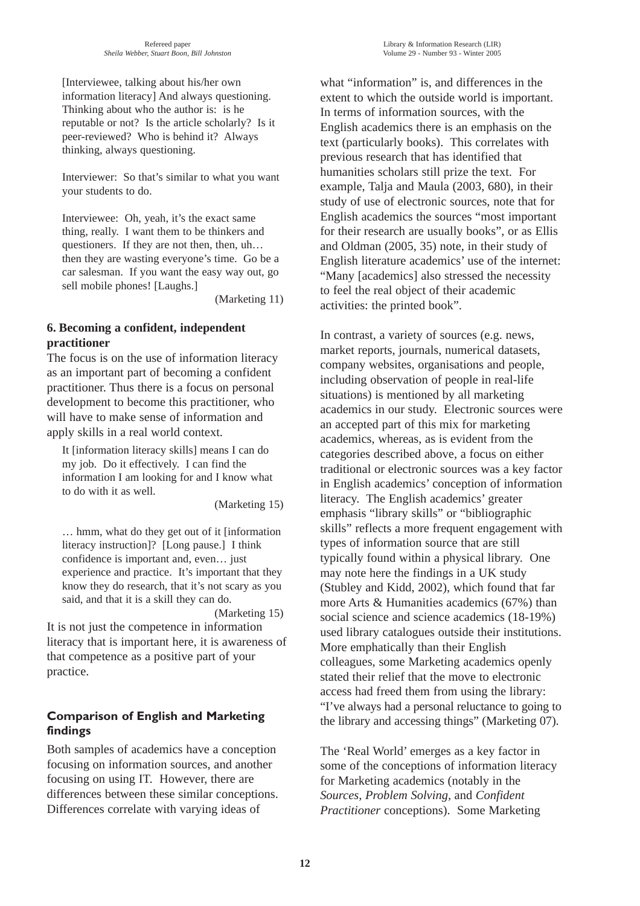[Interviewee, talking about his/her own information literacy] And always questioning. Thinking about who the author is: is he reputable or not? Is the article scholarly? Is it peer-reviewed? Who is behind it? Always thinking, always questioning.

Interviewer: So that's similar to what you want your students to do.

Interviewee: Oh, yeah, it's the exact same thing, really. I want them to be thinkers and questioners. If they are not then, then, uh… then they are wasting everyone's time. Go be a car salesman. If you want the easy way out, go sell mobile phones! [Laughs.]

(Marketing 11)

## **6. Becoming a confident, independent practitioner**

The focus is on the use of information literacy as an important part of becoming a confident practitioner. Thus there is a focus on personal development to become this practitioner, who will have to make sense of information and apply skills in a real world context.

It [information literacy skills] means I can do my job. Do it effectively. I can find the information I am looking for and I know what to do with it as well.

(Marketing 15)

… hmm, what do they get out of it [information literacy instruction]? [Long pause.] I think confidence is important and, even… just experience and practice. It's important that they know they do research, that it's not scary as you said, and that it is a skill they can do.

(Marketing 15) It is not just the competence in information literacy that is important here, it is awareness of that competence as a positive part of your practice.

## **Comparison of English and Marketing findings**

Both samples of academics have a conception focusing on information sources, and another focusing on using IT. However, there are differences between these similar conceptions. Differences correlate with varying ideas of

what "information" is, and differences in the extent to which the outside world is important. In terms of information sources, with the English academics there is an emphasis on the text (particularly books). This correlates with previous research that has identified that humanities scholars still prize the text. For example, Talja and Maula (2003, 680), in their study of use of electronic sources, note that for English academics the sources "most important for their research are usually books", or as Ellis and Oldman (2005, 35) note, in their study of English literature academics' use of the internet: "Many [academics] also stressed the necessity to feel the real object of their academic activities: the printed book".

In contrast, a variety of sources (e.g. news, market reports, journals, numerical datasets, company websites, organisations and people, including observation of people in real-life situations) is mentioned by all marketing academics in our study. Electronic sources were an accepted part of this mix for marketing academics, whereas, as is evident from the categories described above, a focus on either traditional or electronic sources was a key factor in English academics' conception of information literacy. The English academics' greater emphasis "library skills" or "bibliographic skills" reflects a more frequent engagement with types of information source that are still typically found within a physical library. One may note here the findings in a UK study (Stubley and Kidd, 2002), which found that far more Arts & Humanities academics (67%) than social science and science academics (18-19%) used library catalogues outside their institutions. More emphatically than their English colleagues, some Marketing academics openly stated their relief that the move to electronic access had freed them from using the library: "I've always had a personal reluctance to going to the library and accessing things" (Marketing 07).

The 'Real World' emerges as a key factor in some of the conceptions of information literacy for Marketing academics (notably in the *Sources, Problem Solving,* and *Confident Practitioner* conceptions). Some Marketing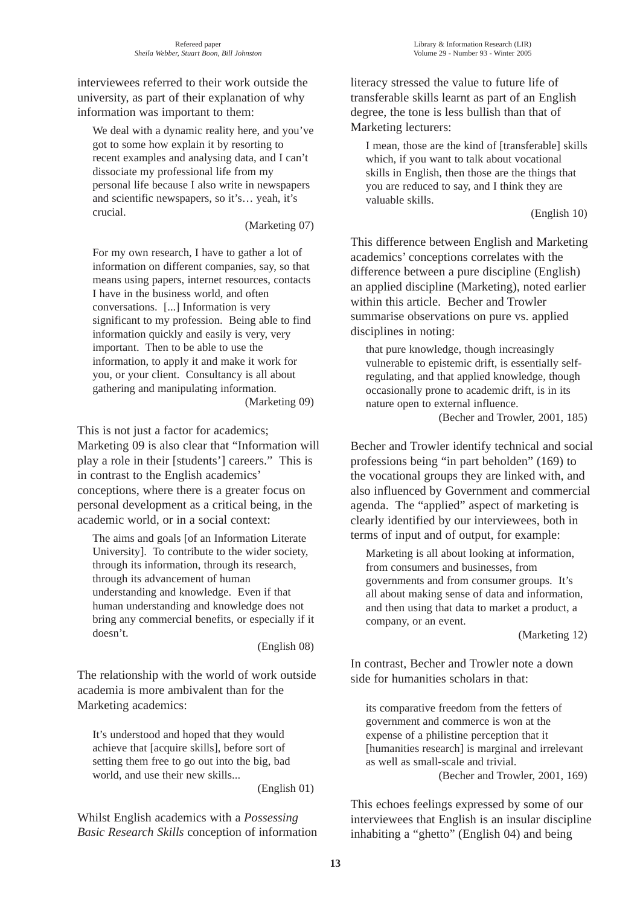interviewees referred to their work outside the university, as part of their explanation of why information was important to them:

We deal with a dynamic reality here, and you've got to some how explain it by resorting to recent examples and analysing data, and I can't dissociate my professional life from my personal life because I also write in newspapers and scientific newspapers, so it's… yeah, it's crucial.

(Marketing 07)

For my own research, I have to gather a lot of information on different companies, say, so that means using papers, internet resources, contacts I have in the business world, and often conversations. [...] Information is very significant to my profession. Being able to find information quickly and easily is very, very important. Then to be able to use the information, to apply it and make it work for you, or your client. Consultancy is all about gathering and manipulating information. (Marketing 09)

This is not just a factor for academics; Marketing 09 is also clear that "Information will play a role in their [students'] careers." This is in contrast to the English academics' conceptions, where there is a greater focus on personal development as a critical being, in the academic world, or in a social context:

The aims and goals [of an Information Literate University]. To contribute to the wider society, through its information, through its research, through its advancement of human understanding and knowledge. Even if that human understanding and knowledge does not bring any commercial benefits, or especially if it doesn't.

(English 08)

The relationship with the world of work outside academia is more ambivalent than for the Marketing academics:

It's understood and hoped that they would achieve that [acquire skills], before sort of setting them free to go out into the big, bad world, and use their new skills...

(English 01)

Whilst English academics with a *Possessing Basic Research Skills* conception of information literacy stressed the value to future life of transferable skills learnt as part of an English degree, the tone is less bullish than that of Marketing lecturers:

I mean, those are the kind of [transferable] skills which, if you want to talk about vocational skills in English, then those are the things that you are reduced to say, and I think they are valuable skills.

#### (English 10)

This difference between English and Marketing academics' conceptions correlates with the difference between a pure discipline (English) an applied discipline (Marketing), noted earlier within this article. Becher and Trowler summarise observations on pure vs. applied disciplines in noting:

that pure knowledge, though increasingly vulnerable to epistemic drift, is essentially selfregulating, and that applied knowledge, though occasionally prone to academic drift, is in its nature open to external influence.

(Becher and Trowler, 2001, 185)

Becher and Trowler identify technical and social professions being "in part beholden" (169) to the vocational groups they are linked with, and also influenced by Government and commercial agenda. The "applied" aspect of marketing is clearly identified by our interviewees, both in terms of input and of output, for example:

Marketing is all about looking at information, from consumers and businesses, from governments and from consumer groups. It's all about making sense of data and information, and then using that data to market a product, a company, or an event.

(Marketing 12)

In contrast, Becher and Trowler note a down side for humanities scholars in that:

its comparative freedom from the fetters of government and commerce is won at the expense of a philistine perception that it [humanities research] is marginal and irrelevant as well as small-scale and trivial. (Becher and Trowler, 2001, 169)

This echoes feelings expressed by some of our interviewees that English is an insular discipline inhabiting a "ghetto" (English 04) and being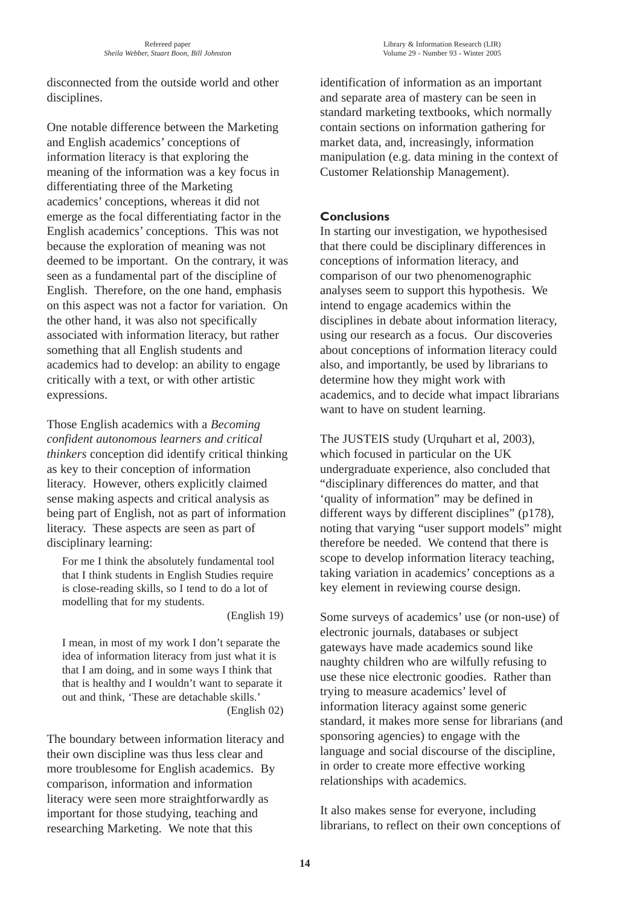disconnected from the outside world and other disciplines.

One notable difference between the Marketing and English academics' conceptions of information literacy is that exploring the meaning of the information was a key focus in differentiating three of the Marketing academics' conceptions, whereas it did not emerge as the focal differentiating factor in the English academics' conceptions. This was not because the exploration of meaning was not deemed to be important. On the contrary, it was seen as a fundamental part of the discipline of English. Therefore, on the one hand, emphasis on this aspect was not a factor for variation. On the other hand, it was also not specifically associated with information literacy, but rather something that all English students and academics had to develop: an ability to engage critically with a text, or with other artistic expressions.

Those English academics with a *Becoming confident autonomous learners and critical thinkers* conception did identify critical thinking as key to their conception of information literacy. However, others explicitly claimed sense making aspects and critical analysis as being part of English, not as part of information literacy. These aspects are seen as part of disciplinary learning:

For me I think the absolutely fundamental tool that I think students in English Studies require is close-reading skills, so I tend to do a lot of modelling that for my students.

(English 19)

I mean, in most of my work I don't separate the idea of information literacy from just what it is that I am doing, and in some ways I think that that is healthy and I wouldn't want to separate it out and think, 'These are detachable skills.' (English 02)

The boundary between information literacy and their own discipline was thus less clear and more troublesome for English academics. By comparison, information and information literacy were seen more straightforwardly as important for those studying, teaching and researching Marketing. We note that this

identification of information as an important and separate area of mastery can be seen in standard marketing textbooks, which normally contain sections on information gathering for market data, and, increasingly, information manipulation (e.g. data mining in the context of Customer Relationship Management).

## **Conclusions**

In starting our investigation, we hypothesised that there could be disciplinary differences in conceptions of information literacy, and comparison of our two phenomenographic analyses seem to support this hypothesis. We intend to engage academics within the disciplines in debate about information literacy, using our research as a focus. Our discoveries about conceptions of information literacy could also, and importantly, be used by librarians to determine how they might work with academics, and to decide what impact librarians want to have on student learning.

The JUSTEIS study (Urquhart et al, 2003), which focused in particular on the UK undergraduate experience, also concluded that "disciplinary differences do matter, and that 'quality of information" may be defined in different ways by different disciplines" (p178), noting that varying "user support models" might therefore be needed. We contend that there is scope to develop information literacy teaching, taking variation in academics' conceptions as a key element in reviewing course design.

Some surveys of academics' use (or non-use) of electronic journals, databases or subject gateways have made academics sound like naughty children who are wilfully refusing to use these nice electronic goodies. Rather than trying to measure academics' level of information literacy against some generic standard, it makes more sense for librarians (and sponsoring agencies) to engage with the language and social discourse of the discipline, in order to create more effective working relationships with academics.

It also makes sense for everyone, including librarians, to reflect on their own conceptions of